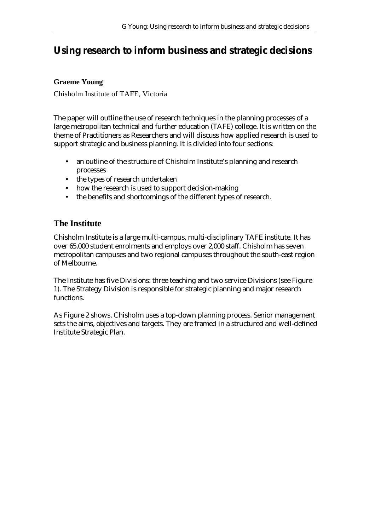# **Using research to inform business and strategic decisions**

## **Graeme Young**

Chisholm Institute of TAFE, Victoria

The paper will outline the use of research techniques in the planning processes of a large metropolitan technical and further education (TAFE) college. It is written on the theme of Practitioners as Researchers and will discuss how applied research is used to support strategic and business planning. It is divided into four sections:

- an outline of the structure of Chisholm Institute's planning and research processes
- the types of research undertaken
- how the research is used to support decision-making
- the benefits and shortcomings of the different types of research.

## **The Institute**

Chisholm Institute is a large multi-campus, multi-disciplinary TAFE institute. It has over 65,000 student enrolments and employs over 2,000 staff. Chisholm has seven metropolitan campuses and two regional campuses throughout the south-east region of Melbourne.

The Institute has five Divisions: three teaching and two service Divisions (see Figure 1). The Strategy Division is responsible for strategic planning and major research functions.

As Figure 2 shows, Chisholm uses a top-down planning process. Senior management sets the aims, objectives and targets. They are framed in a structured and well-defined Institute Strategic Plan.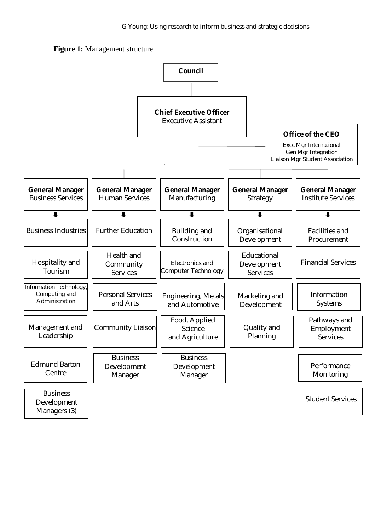

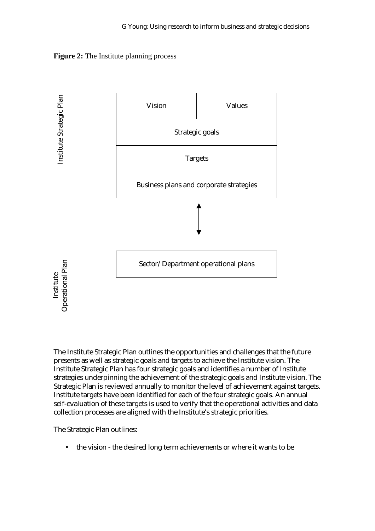



The Institute Strategic Plan outlines the opportunities and challenges that the future presents as well as strategic goals and targets to achieve the Institute vision. The Institute Strategic Plan has four strategic goals and identifies a number of Institute strategies underpinning the achievement of the strategic goals and Institute vision. The Strategic Plan is reviewed annually to monitor the level of achievement against targets. Institute targets have been identified for each of the four strategic goals. An annual self-evaluation of these targets is used to verify that the operational activities and data collection processes are aligned with the Institute's strategic priorities.

The Strategic Plan outlines:

• the vision - the desired long term achievements or where it wants to be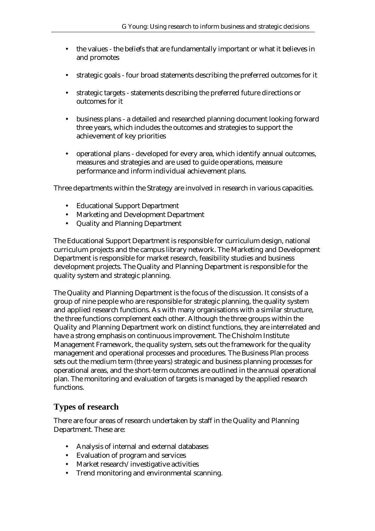- the values the beliefs that are fundamentally important or what it believes in and promotes
- strategic goals four broad statements describing the preferred outcomes for it
- strategic targets statements describing the preferred future directions or outcomes for it
- business plans a detailed and researched planning document looking forward three years, which includes the outcomes and strategies to support the achievement of key priorities
- operational plans developed for every area, which identify annual outcomes, measures and strategies and are used to guide operations, measure performance and inform individual achievement plans.

Three departments within the Strategy are involved in research in various capacities.

- Educational Support Department
- Marketing and Development Department
- Quality and Planning Department

The Educational Support Department is responsible for curriculum design, national curriculum projects and the campus library network. The Marketing and Development Department is responsible for market research, feasibility studies and business development projects. The Quality and Planning Department is responsible for the quality system and strategic planning.

The Quality and Planning Department is the focus of the discussion. It consists of a group of nine people who are responsible for strategic planning, the quality system and applied research functions. As with many organisations with a similar structure, the three functions complement each other. Although the three groups within the Quality and Planning Department work on distinct functions, they are interrelated and have a strong emphasis on continuous improvement. The Chisholm Institute Management Framework, the quality system, sets out the framework for the quality management and operational processes and procedures. The Business Plan process sets out the medium term (three years) strategic and business planning processes for operational areas, and the short-term outcomes are outlined in the annual operational plan. The monitoring and evaluation of targets is managed by the applied research functions.

## **Types of research**

There are four areas of research undertaken by staff in the Quality and Planning Department. These are:

- Analysis of internal and external databases
- Evaluation of program and services
- Market research/investigative activities
- Trend monitoring and environmental scanning.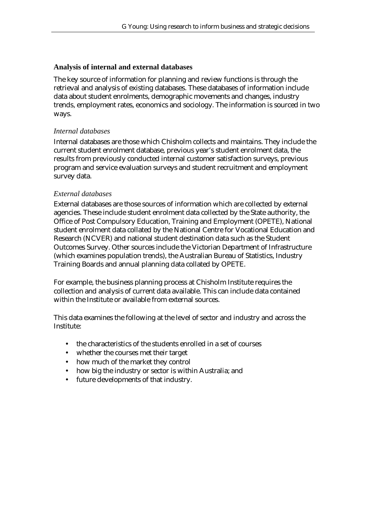#### **Analysis of internal and external databases**

The key source of information for planning and review functions is through the retrieval and analysis of existing databases. These databases of information include data about student enrolments, demographic movements and changes, industry trends, employment rates, economics and sociology. The information is sourced in two ways.

#### *Internal databases*

Internal databases are those which Chisholm collects and maintains. They include the current student enrolment database, previous year's student enrolment data, the results from previously conducted internal customer satisfaction surveys, previous program and service evaluation surveys and student recruitment and employment survey data.

#### *External databases*

External databases are those sources of information which are collected by external agencies. These include student enrolment data collected by the State authority, the Office of Post Compulsory Education, Training and Employment (OPETE), National student enrolment data collated by the National Centre for Vocational Education and Research (NCVER) and national student destination data such as the Student Outcomes Survey. Other sources include the Victorian Department of Infrastructure (which examines population trends), the Australian Bureau of Statistics, Industry Training Boards and annual planning data collated by OPETE.

For example, the business planning process at Chisholm Institute requires the collection and analysis of current data available. This can include data contained within the Institute or available from external sources.

This data examines the following at the level of sector and industry and across the Institute:

- the characteristics of the students enrolled in a set of courses
- whether the courses met their target
- how much of the market they control
- how big the industry or sector is within Australia; and
- future developments of that industry.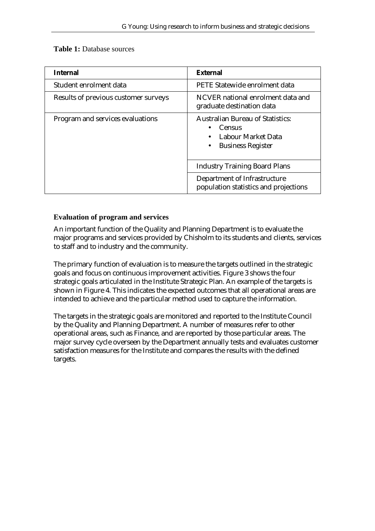| <b>Internal</b>                      | <b>External</b>                                                                                            |
|--------------------------------------|------------------------------------------------------------------------------------------------------------|
| Student enrolment data               | PETE Statewide enrolment data                                                                              |
| Results of previous customer surveys | NCVER national enrolment data and<br>graduate destination data                                             |
| Program and services evaluations     | <b>Australian Bureau of Statistics:</b><br><b>Census</b><br>Labour Market Data<br><b>Business Register</b> |
|                                      | <b>Industry Training Board Plans</b>                                                                       |
|                                      | Department of Infrastructure<br>population statistics and projections                                      |

## **Table 1:** Database sources

#### **Evaluation of program and services**

An important function of the Quality and Planning Department is to evaluate the major programs and services provided by Chisholm to its students and clients, services to staff and to industry and the community.

The primary function of evaluation is to measure the targets outlined in the strategic goals and focus on continuous improvement activities. Figure 3 shows the four strategic goals articulated in the Institute Strategic Plan. An example of the targets is shown in Figure 4. This indicates the expected outcomes that all operational areas are intended to achieve and the particular method used to capture the information.

The targets in the strategic goals are monitored and reported to the Institute Council by the Quality and Planning Department. A number of measures refer to other operational areas, such as Finance, and are reported by those particular areas. The major survey cycle overseen by the Department annually tests and evaluates customer satisfaction measures for the Institute and compares the results with the defined targets.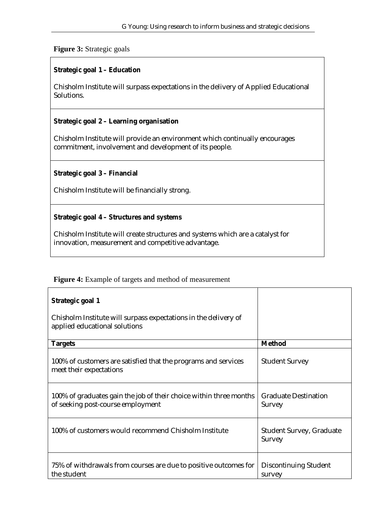## **Figure 3:** Strategic goals

## **Strategic goal 1 – Education**

Chisholm Institute will surpass expectations in the delivery of Applied Educational Solutions.

#### **Strategic goal 2 – Learning organisation**

Chisholm Institute will provide an environment which continually encourages commitment, involvement and development of its people.

#### **Strategic goal 3 – Financial**

Chisholm Institute will be financially strong.

#### **Strategic goal 4 – Structures and systems**

Chisholm Institute will create structures and systems which are a catalyst for innovation, measurement and competitive advantage.

#### **Figure 4:** Example of targets and method of measurement

| Strategic goal 1<br>Chisholm Institute will surpass expectations in the delivery of<br>applied educational solutions |                                                  |
|----------------------------------------------------------------------------------------------------------------------|--------------------------------------------------|
| <b>Targets</b>                                                                                                       | <b>Method</b>                                    |
| 100% of customers are satisfied that the programs and services<br>meet their expectations                            | <b>Student Survey</b>                            |
| 100% of graduates gain the job of their choice within three months<br>of seeking post-course employment              | <b>Graduate Destination</b><br><b>Survey</b>     |
| 100% of customers would recommend Chisholm Institute                                                                 | <b>Student Survey, Graduate</b><br><b>Survey</b> |
| 75% of withdrawals from courses are due to positive outcomes for<br>the student                                      | Discontinuing Student<br>survey                  |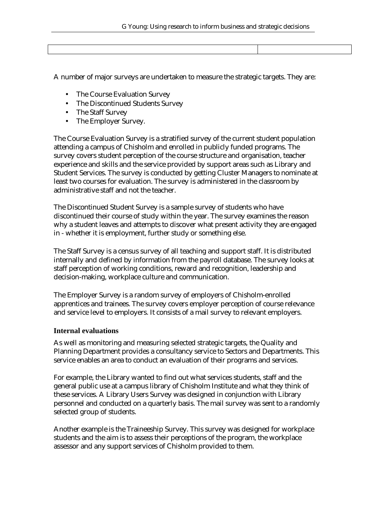A number of major surveys are undertaken to measure the strategic targets. They are:

- The Course Evaluation Survey
- The Discontinued Students Survey
- The Staff Survey
- The Employer Survey.

The Course Evaluation Survey is a stratified survey of the current student population attending a campus of Chisholm and enrolled in publicly funded programs. The survey covers student perception of the course structure and organisation, teacher experience and skills and the service provided by support areas such as Library and Student Services. The survey is conducted by getting Cluster Managers to nominate at least two courses for evaluation. The survey is administered in the classroom by administrative staff and not the teacher.

The Discontinued Student Survey is a sample survey of students who have discontinued their course of study within the year. The survey examines the reason why a student leaves and attempts to discover what present activity they are engaged in - whether it is employment, further study or something else.

The Staff Survey is a census survey of all teaching and support staff. It is distributed internally and defined by information from the payroll database. The survey looks at staff perception of working conditions, reward and recognition, leadership and decision-making, workplace culture and communication.

The Employer Survey is a random survey of employers of Chisholm-enrolled apprentices and trainees. The survey covers employer perception of course relevance and service level to employers. It consists of a mail survey to relevant employers.

#### **Internal evaluations**

As well as monitoring and measuring selected strategic targets, the Quality and Planning Department provides a consultancy service to Sectors and Departments. This service enables an area to conduct an evaluation of their programs and services.

For example, the Library wanted to find out what services students, staff and the general public use at a campus library of Chisholm Institute and what they think of these services. A Library Users Survey was designed in conjunction with Library personnel and conducted on a quarterly basis. The mail survey was sent to a randomly selected group of students.

Another example is the Traineeship Survey. This survey was designed for workplace students and the aim is to assess their perceptions of the program, the workplace assessor and any support services of Chisholm provided to them.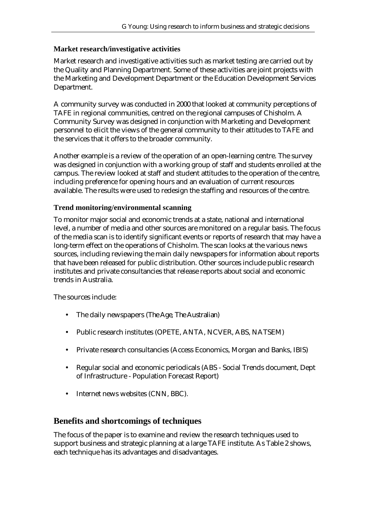#### **Market research/investigative activities**

Market research and investigative activities such as market testing are carried out by the Quality and Planning Department. Some of these activities are joint projects with the Marketing and Development Department or the Education Development Services Department.

A community survey was conducted in 2000 that looked at community perceptions of TAFE in regional communities, centred on the regional campuses of Chisholm. A Community Survey was designed in conjunction with Marketing and Development personnel to elicit the views of the general community to their attitudes to TAFE and the services that it offers to the broader community.

Another example is a review of the operation of an open-learning centre. The survey was designed in conjunction with a working group of staff and students enrolled at the campus. The review looked at staff and student attitudes to the operation of the centre, including preference for opening hours and an evaluation of current resources available. The results were used to redesign the staffing and resources of the centre.

#### **Trend monitoring/environmental scanning**

To monitor major social and economic trends at a state, national and international level, a number of media and other sources are monitored on a regular basis. The focus of the media scan is to identify significant events or reports of research that may have a long-term effect on the operations of Chisholm. The scan looks at the various news sources, including reviewing the main daily newspapers for information about reports that have been released for public distribution. Other sources include public research institutes and private consultancies that release reports about social and economic trends in Australia.

The sources include:

- The daily newspapers (*The Age*, *The Australian*)
- Public research institutes (OPETE, ANTA, NCVER, ABS, NATSEM)
- Private research consultancies (Access Economics, Morgan and Banks, IBIS)
- Regular social and economic periodicals (ABS Social Trends document, Dept of Infrastructure - Population Forecast Report)
- Internet news websites (CNN, BBC).

## **Benefits and shortcomings of techniques**

The focus of the paper is to examine and review the research techniques used to support business and strategic planning at a large TAFE institute. As Table 2 shows, each technique has its advantages and disadvantages.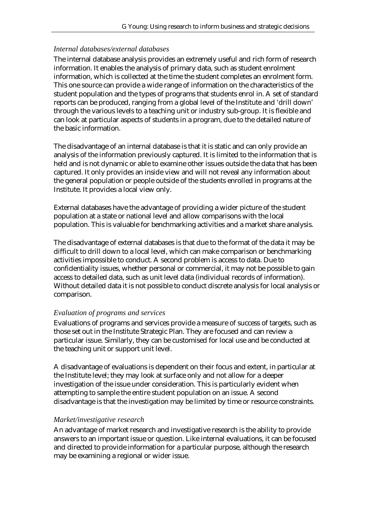#### *Internal databases/external databases*

The internal database analysis provides an extremely useful and rich form of research information. It enables the analysis of primary data, such as student enrolment information, which is collected at the time the student completes an enrolment form. This one source can provide a wide range of information on the characteristics of the student population and the types of programs that students enrol in. A set of standard reports can be produced, ranging from a global level of the Institute and 'drill down' through the various levels to a teaching unit or industry sub-group. It is flexible and can look at particular aspects of students in a program, due to the detailed nature of the basic information.

The disadvantage of an internal database is that it is static and can only provide an analysis of the information previously captured. It is limited to the information that is held and is not dynamic or able to examine other issues outside the data that has been captured. It only provides an inside view and will not reveal any information about the general population or people outside of the students enrolled in programs at the Institute. It provides a local view only.

External databases have the advantage of providing a wider picture of the student population at a state or national level and allow comparisons with the local population. This is valuable for benchmarking activities and a market share analysis.

The disadvantage of external databases is that due to the format of the data it may be difficult to drill down to a local level, which can make comparison or benchmarking activities impossible to conduct. A second problem is access to data. Due to confidentiality issues, whether personal or commercial, it may not be possible to gain access to detailed data, such as unit level data (individual records of information). Without detailed data it is not possible to conduct discrete analysis for local analysis or comparison.

#### *Evaluation of programs and services*

Evaluations of programs and services provide a measure of success of targets, such as those set out in the Institute Strategic Plan. They are focused and can review a particular issue. Similarly, they can be customised for local use and be conducted at the teaching unit or support unit level.

A disadvantage of evaluations is dependent on their focus and extent, in particular at the Institute level; they may look at surface only and not allow for a deeper investigation of the issue under consideration. This is particularly evident when attempting to sample the entire student population on an issue. A second disadvantage is that the investigation may be limited by time or resource constraints.

## *Market/investigative research*

An advantage of market research and investigative research is the ability to provide answers to an important issue or question. Like internal evaluations, it can be focused and directed to provide information for a particular purpose, although the research may be examining a regional or wider issue.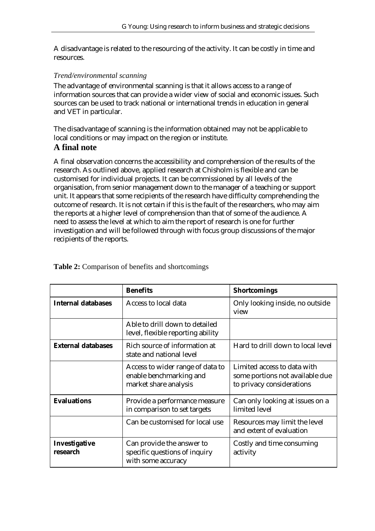A disadvantage is related to the resourcing of the activity. It can be costly in time and resources.

#### *Trend/environmental scanning*

The advantage of environmental scanning is that it allows access to a range of information sources that can provide a wider view of social and economic issues. Such sources can be used to track national or international trends in education in general and VET in particular.

The disadvantage of scanning is the information obtained may not be applicable to local conditions or may impact on the region or institute.

## **A final note**

A final observation concerns the accessibility and comprehension of the results of the research. As outlined above, applied research at Chisholm is flexible and can be customised for individual projects. It can be commissioned by all levels of the organisation, from senior management down to the manager of a teaching or support unit. It appears that some recipients of the research have difficulty comprehending the outcome of research. It is not certain if this is the fault of the researchers, who may aim the reports at a higher level of comprehension than that of some of the audience. A need to assess the level at which to aim the report of research is one for further investigation and will be followed through with focus group discussions of the major recipients of the reports.

|                           | <b>Benefits</b>                                                                      | <b>Shortcomings</b>                                                                         |
|---------------------------|--------------------------------------------------------------------------------------|---------------------------------------------------------------------------------------------|
| <b>Internal databases</b> | Access to local data                                                                 | Only looking inside, no outside<br>view                                                     |
|                           | Able to drill down to detailed<br>level, flexible reporting ability                  |                                                                                             |
| <b>External databases</b> | Rich source of information at<br>state and national level                            | Hard to drill down to local level                                                           |
|                           | Access to wider range of data to<br>enable benchmarking and<br>market share analysis | Limited access to data with<br>some portions not available due<br>to privacy considerations |
| <b>Evaluations</b>        | Provide a performance measure<br>in comparison to set targets                        | Can only looking at issues on a<br>limited level                                            |
|                           | Can be customised for local use                                                      | Resources may limit the level<br>and extent of evaluation                                   |
| Investigative<br>research | Can provide the answer to<br>specific questions of inquiry<br>with some accuracy     | Costly and time consuming<br>activity                                                       |

**Table 2:** Comparison of benefits and shortcomings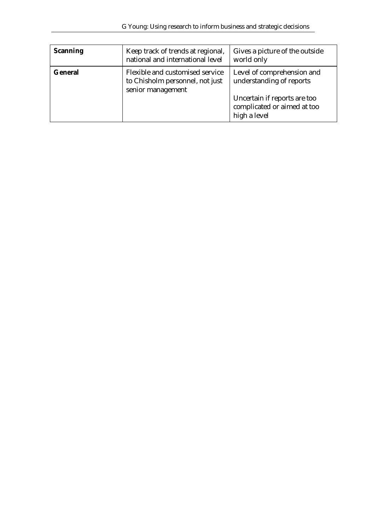| <b>Scanning</b> | Keep track of trends at regional,<br>national and international level                   | Gives a picture of the outside<br>world only                                                                                          |
|-----------------|-----------------------------------------------------------------------------------------|---------------------------------------------------------------------------------------------------------------------------------------|
| <b>General</b>  | Flexible and customised service<br>to Chisholm personnel, not just<br>senior management | Level of comprehension and<br>understanding of reports<br>Uncertain if reports are too<br>complicated or aimed at too<br>high a level |